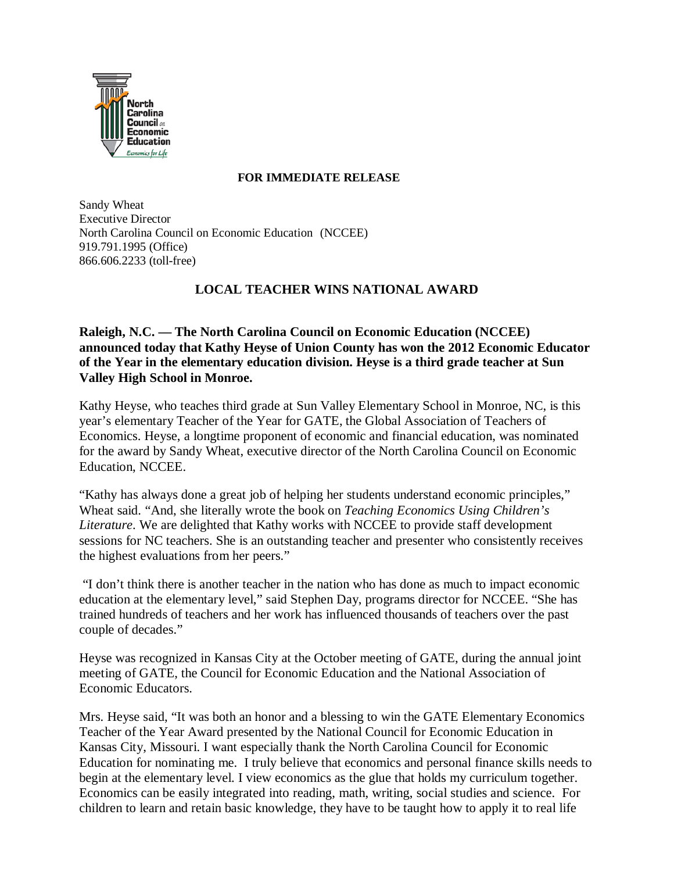

## **FOR IMMEDIATE RELEASE**

Sandy Wheat Executive Director North Carolina Council on Economic Education (NCCEE) 919.791.1995 (Office) 866.606.2233 (toll-free)

## **LOCAL TEACHER WINS NATIONAL AWARD**

**Raleigh, N.C. –– The North Carolina Council on Economic Education (NCCEE) announced today that Kathy Heyse of Union County has won the 2012 Economic Educator of the Year in the elementary education division. Heyse is a third grade teacher at Sun Valley High School in Monroe.**

Kathy Heyse, who teaches third grade at Sun Valley Elementary School in Monroe, NC, is this year's elementary Teacher of the Year for GATE, the Global Association of Teachers of Economics. Heyse, a longtime proponent of economic and financial education, was nominated for the award by Sandy Wheat, executive director of the North Carolina Council on Economic Education, NCCEE.

"Kathy has always done a great job of helping her students understand economic principles," Wheat said. "And, she literally wrote the book on *Teaching Economics Using Children's Literature*. We are delighted that Kathy works with NCCEE to provide staff development sessions for NC teachers. She is an outstanding teacher and presenter who consistently receives the highest evaluations from her peers."

"I don't think there is another teacher in the nation who has done as much to impact economic education at the elementary level," said Stephen Day, programs director for NCCEE. "She has trained hundreds of teachers and her work has influenced thousands of teachers over the past couple of decades."

Heyse was recognized in Kansas City at the October meeting of GATE, during the annual joint meeting of GATE, the Council for Economic Education and the National Association of Economic Educators.

Mrs. Heyse said, "It was both an honor and a blessing to win the GATE Elementary Economics Teacher of the Year Award presented by the National Council for Economic Education in Kansas City, Missouri. I want especially thank the North Carolina Council for Economic Education for nominating me. I truly believe that economics and personal finance skills needs to begin at the elementary level. I view economics as the glue that holds my curriculum together. Economics can be easily integrated into reading, math, writing, social studies and science. For children to learn and retain basic knowledge, they have to be taught how to apply it to real life